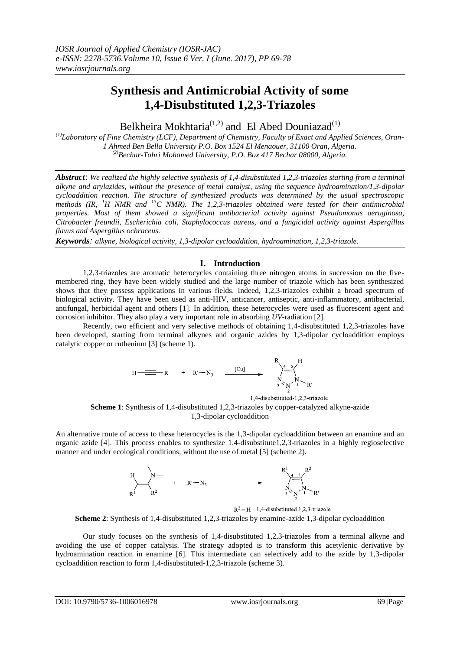# **Synthesis and Antimicrobial Activity of some 1,4-Disubstituted 1,2,3-Triazoles**

Belkheira Mokhtaria<sup>(1,2)</sup> and El Abed Douniazad<sup>(1)</sup>

*(1) Laboratory of Fine Chemistry (LCF), Department of Chemistry, Faculty of Exact and Applied Sciences, Oran-1 Ahmed Ben Bella University P.O. Box 1524 El Menaouer, 31100 Oran, Algeria. (2)Bechar-Tahri Mohamed University, P.O. Box 417 Bechar 08000, Algeria.*

*Abstract*: *We realized the highly selective synthesis of 1,4-disubstituted 1,2,3-triazoles starting from a terminal alkyne and arylazides, without the presence of metal catalyst, using the sequence hydroamination/1,3-dipolar cycloaddition reaction. The structure of synthesized products was determined by the usual spectroscopic methods (IR, <sup>1</sup>H NMR and <sup>13</sup>C NMR). The 1,2,3-triazoles obtained were tested for their antimicrobial properties. Most of them showed a significant antibacterial activity against Pseudomonas aeruginosa, Citrobacter freundii, Escherichia coli, Staphylococcus aureus, and a fungicidal activity against Aspergillus flavus and Aspergillus ochraceus.*

*Keywords: alkyne, biological activity, 1,3-dipolar cycloaddition, hydroamination, 1,2,3-triazole.*

## **I. Introduction**

1,2,3-triazoles are aromatic heterocycles containing three nitrogen atoms in succession on the fivemembered ring, they have been widely studied and the large number of triazole which has been synthesized shows that they possess applications in various fields. Indeed, 1,2,3-triazoles exhibit a broad spectrum of biological activity. They have been used as anti-HIV, anticancer, antiseptic, anti-inflammatory, antibacterial, antifungal, herbicidal agent and others [1]. In addition, these heterocycles were used as fluorescent agent and corrosion inhibitor. They also play a very important role in absorbing *UV*-radiation [2].

Recently, two efficient and very selective methods of obtaining 1,4-disubstituted 1,2,3-triazoles have been developed, starting from terminal alkynes and organic azides by 1,3-dipolar cycloaddition employs catalytic copper or ruthenium [3] (scheme 1).



1,4-disubstituted-1,2,3-triazole **Scheme 1**: Synthesis of 1,4-disubstituted 1,2,3-triazoles by copper-catalyzed alkyne-azide 1,3-dipolar cycloaddition

An alternative route of access to these heterocycles is the 1,3-dipolar cycloaddition between an enamine and an organic azide [4]. This process enables to synthesize 1,4-disubstitute1,2,3-triazoles in a highly regioselective manner and under ecological conditions; without the use of metal [5] (scheme 2).



 $R^2 = H$  1,4-disubstituted 1,2,3-triazole

**Scheme 2**: Synthesis of 1,4-disubstituted 1,2,3-triazoles by enamine-azide 1,3-dipolar cycloaddition

Our study focuses on the synthesis of 1,4-disubstituted 1,2,3-triazoles from a terminal alkyne and avoiding the use of copper catalysis. The strategy adopted is to transform this acetylenic derivative by hydroamination reaction in enamine [6]. This intermediate can selectively add to the azide by 1,3-dipolar cycloaddition reaction to form 1,4-disubstituted-1,2,3-triazole (scheme 3).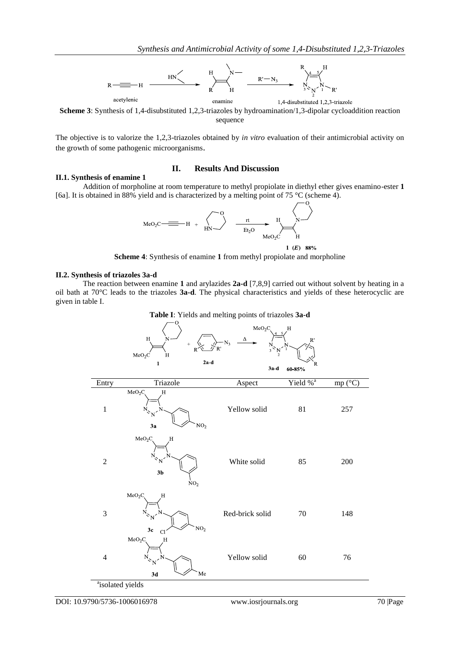

**Scheme 3**: Synthesis of 1,4-disubstituted 1,2,3-triazoles by hydroamination/1,3-dipolar cycloaddition reaction sequence

The objective is to valorize the 1,2,3-triazoles obtained by *in vitro* evaluation of their antimicrobial activity on the growth of some pathogenic microorganisms.

## **II.1. Synthesis of enamine 1**

## **II. Results And Discussion**

Addition of morpholine at room temperature to methyl propiolate in diethyl ether gives enamino-ester **1** [6a]. It is obtained in 88% yield and is characterized by a melting point of 75 °C (scheme 4).

$$
MeO_2C \longrightarrow H + \begin{matrix} 0 & H \\ HN \end{matrix} \longrightarrow H + \begin{matrix} 0 & H \\ HN \end{matrix} \longrightarrow H + \begin{matrix} 0 & H \\ HN \end{matrix}
$$

1  $(E)$  88%

 $\overline{\Omega}$ 

**Scheme 4**: Synthesis of enamine **1** from methyl propiolate and morpholine

## **II.2. Synthesis of triazoles 3a-d**

The reaction between enamine **1** and arylazides **2a-d** [7,8,9] carried out without solvent by heating in a oil bath at 70°C leads to the triazoles **3a-d**. The physical characteristics and yields of these heterocyclic are given in table I.



| 2a d<br>$\mathbf{1}$<br>Triazole<br>$\overline{H}$           | $3a-d$<br>Aspect | R<br>$60\text{-}85\%$<br>Yield % <sup>a</sup> |                            |
|--------------------------------------------------------------|------------------|-----------------------------------------------|----------------------------|
|                                                              |                  |                                               |                            |
|                                                              |                  |                                               | $mp(^{\circ}\overline{C})$ |
| $\mathrm{NO}_2$<br>3a                                        | Yellow solid     | $81\,$                                        | 257                        |
| MeO <sub>2</sub> C<br>H<br>3 <sub>b</sub><br>NO <sub>2</sub> | White solid      | 85                                            | $200\,$                    |
| H<br>NO <sub>2</sub><br>3c<br>C1                             | Red-brick solid  | $70\,$                                        | 148                        |
| H                                                            | Yellow solid     | $60\,$                                        | 76                         |
|                                                              | Me<br>3d         |                                               |                            |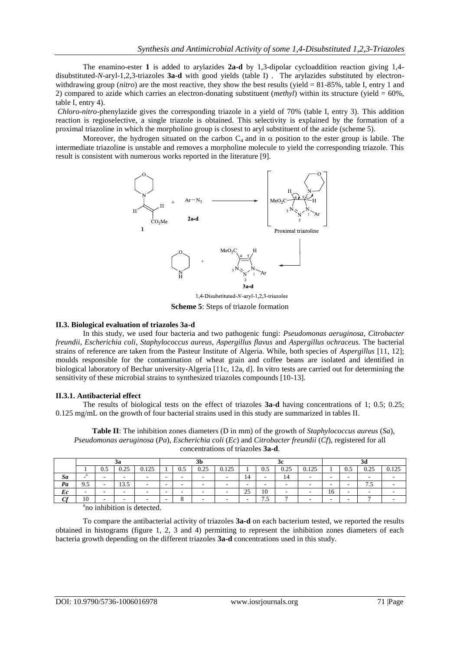The enamino-ester **1** is added to arylazides **2a-d** by 1,3-dipolar cycloaddition reaction giving 1,4 disubstituted-*N*-aryl-1,2,3-triazoles **3a-d** with good yields (table I) . The arylazides substituted by electronwithdrawing group (*nitro*) are the most reactive, they show the best results (yield = 81-85%, table I, entry 1 and 2) compared to azide which carries an electron-donating substituent (*methyl*) within its structure (yield =  $60\%$ , table I, entry 4).

*Chloro*-*nitro*-phenylazide gives the corresponding triazole in a yield of 70% (table I, entry 3). This addition reaction is regioselective, a single triazole is obtained. This selectivity is explained by the formation of a proximal triazoline in which the morpholino group is closest to aryl substituent of the azide (scheme 5).

Moreover, the hydrogen situated on the carbon  $C_4$  and in  $\alpha$  position to the ester group is labile. The intermediate triazoline is unstable and removes a morpholine molecule to yield the corresponding triazole. This result is consistent with numerous works reported in the literature [9].



1,4-Disubstituted-N-aryl-1,2,3-triazoles **Scheme 5**: Steps of triazole formation

## **II.3. Biological evaluation of triazoles 3a-d**

In this study, we used four bacteria and two pathogenic fungi: *Pseudomonas aeruginosa*, *Citrobacter freundii*, *Escherichia coli*, *Staphylococcus aureus, Aspergillus flavus* and *Aspergillus ochraceus.* The bacterial strains of reference are taken from the Pasteur Institute of Algeria. While, both species of *Aspergillus* [11, 12]; moulds responsible for the contamination of wheat grain and coffee beans are isolated and identified in biological laboratory of Bechar university-Algeria [11c, 12a, d]. In vitro tests are carried out for determining the sensitivity of these microbial strains to synthesized triazoles compounds [10-13].

## **II.3.1. Antibacterial effect**

The results of biological tests on the effect of triazoles **3a-d** having concentrations of 1; 0.5; 0.25; 0.125 mg/mL on the growth of four bacterial strains used in this study are summarized in tables II.

**Table II**: The inhibition zones diameters (D in mm) of the growth of *Staphylococcus aureus* (*Sa*), *Pseudomonas aeruginosa* (*Pa*), *Escherichia coli* (*Ec*) and *Citrobacter freundii* (*Cf*), registered for all concentrations of triazoles **3a-d**.

|          | эa        |     |                | ЭU    |        |                          | v                        |       |    | 30  |      |                          |    |     |      |         |
|----------|-----------|-----|----------------|-------|--------|--------------------------|--------------------------|-------|----|-----|------|--------------------------|----|-----|------|---------|
|          |           | U.J | በ 25<br>0.4J   | 0.125 |        | U.J                      | 0.25                     | 0.125 |    | U.J | 0.25 | 0.125                    |    | 0.5 | 0.25 | ገ 1 ሰ ሮ |
| Sa       |           |     |                |       | $\sim$ | -                        | $\overline{\phantom{a}}$ |       | 14 |     | 14   | $\overline{\phantom{0}}$ |    |     |      |         |
| Pa       | 9.5       |     | $\sim$<br>15.5 |       |        | $\overline{\phantom{a}}$ | $\overline{\phantom{a}}$ |       | -  |     |      |                          |    |     | 1.5  |         |
| Ec       |           |     |                |       |        | -                        | -                        |       | 25 | 10  |      | $\overline{\phantom{a}}$ | 16 |     |      |         |
| $\alpha$ | 10        |     |                |       | -      |                          | -                        |       |    | ن ر |      |                          |    |     |      |         |
|          | $3 + 122$ |     |                |       |        |                          |                          |       |    |     |      |                          |    |     |      |         |

<sup>a</sup>no inhibition is detected.

To compare the antibacterial activity of triazoles **3a-d** on each bacterium tested, we reported the results obtained in histograms (figure 1, 2, 3 and 4) permitting to represent the inhibition zones diameters of each bacteria growth depending on the different triazoles **3a-d** concentrations used in this study.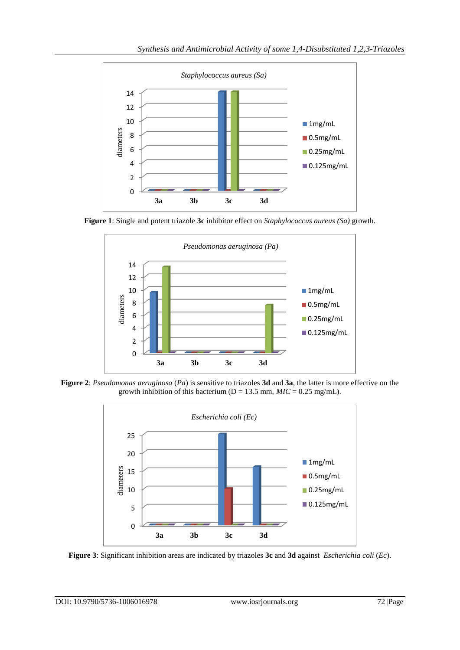

**Figure 1**: Single and potent triazole **3c** inhibitor effect on *Staphylococcus aureus (Sa)* growth.



**Figure 2**: *Pseudomonas aeruginosa* (*Pa*) is sensitive to triazoles **3d** and **3a**, the latter is more effective on the growth inhibition of this bacterium ( $D = 13.5$  mm,  $MIC = 0.25$  mg/mL).



**Figure 3**: Significant inhibition areas are indicated by triazoles **3c** and **3d** against *Escherichia coli* (*Ec*).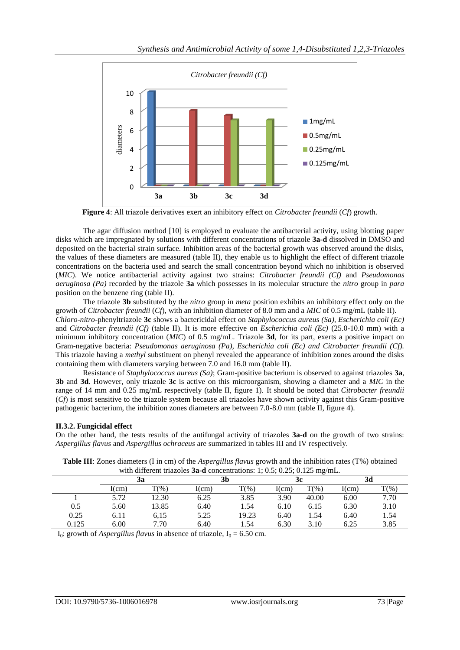

**Figure 4**: All triazole derivatives exert an inhibitory effect on *Citrobacter freundii* (*Cf*) growth.

The agar diffusion method [10] is employed to evaluate the antibacterial activity, using blotting paper disks which are impregnated by solutions with different concentrations of triazole **3a-d** dissolved in DMSO and deposited on the bacterial strain surface. Inhibition areas of the bacterial growth was observed around the disks, the values of these diameters are measured (table II), they enable us to highlight the effect of different triazole concentrations on the bacteria used and search the small concentration beyond which no inhibition is observed (*MIC*). We notice antibacterial activity against two strains: *Citrobacter freundii (Cf)* and *Pseudomonas aeruginosa (Pa)* recorded by the triazole **3a** which possesses in its molecular structure the *nitro* group in *para* position on the benzene ring (table II).

The triazole **3b** substituted by the *nitro* group in *meta* position exhibits an inhibitory effect only on the growth of *Citrobacter freundii* (*Cf*), with an inhibition diameter of 8.0 mm and a *MIC* of 0.5 mg/mL (table II). *Chloro*-*nitro*-phenyltriazole **3c** shows a bactericidal effect on *Staphylococcus aureus (Sa), Escherichia coli (Ec)*  and *Citrobacter freundii (Cf)* (table II). It is more effective on *Escherichia coli (Ec)* (25.0-10.0 mm) with a minimum inhibitory concentration (*MIC*) of 0.5 mg/mL. Triazole **3d**, for its part, exerts a positive impact on Gram-negative bacteria: *Pseudomonas aeruginosa (Pa), Escherichia coli (Ec) and Citrobacter freundii (Cf).* This triazole having a *methyl* substituent on phenyl revealed the appearance of inhibition zones around the disks containing them with diameters varying between 7.0 and 16.0 mm (table II).

Resistance of *Staphylococcus aureus (Sa)*; Gram-positive bacterium is observed to against triazoles **3a**, **3b** and **3d**. However, only triazole **3c** is active on this microorganism, showing a diameter and a *MIC* in the range of 14 mm and 0.25 mg/mL respectively (table II, figure 1). It should be noted that *Citrobacter freundii* (*Cf*) is most sensitive to the triazole system because all triazoles have shown activity against this Gram-positive pathogenic bacterium, the inhibition zones diameters are between 7.0-8.0 mm (table II, figure 4).

## **II.3.2. Fungicidal effect**

On the other hand, the tests results of the antifungal activity of triazoles **3a-d** on the growth of two strains: *Aspergillus flavus* and *Aspergillus ochraceus* are summarized in tables III and IV respectively.

|       | with different triazones <b>3a-d</b> concentrations. $1, 0.5, 0.25, 0.125$ highing. |                   |       |          |       |         |       |         |  |
|-------|-------------------------------------------------------------------------------------|-------------------|-------|----------|-------|---------|-------|---------|--|
|       | 3a                                                                                  |                   |       | 3b       |       | 3c      |       |         |  |
|       | I(cm)                                                                               | $\mathbf{T}(\% )$ | I(cm) | $T(\% )$ | I(cm) | $T(\%)$ | I(cm) | $T(\%)$ |  |
|       | 5.72                                                                                | 12.30             | 6.25  | 3.85     | 3.90  | 40.00   | 6.00  | 7.70    |  |
| 0.5   | 5.60                                                                                | 13.85             | 6.40  | 1.54     | 6.10  | 6.15    | 6.30  | 3.10    |  |
| 0.25  | 6.11                                                                                | 6.15              | 5.25  | 19.23    | 6.40  | 1.54    | 6.40  | 1.54    |  |
| 0.125 | 6.00                                                                                | 7.70              | 6.40  | 1.54     | 6.30  | 3.10    | 6.25  | 3.85    |  |

**Table III**: Zones diameters (I in cm) of the *Aspergillus flavus* growth and the inhibition rates (T%) obtained with different triazoles **3a-d** concentrations:  $1: 0.5: 0.25: 0.125$  mg/mL

I<sub>0</sub>: growth of *Aspergillus flavus* in absence of triazole,  $I_0 = 6.50$  cm.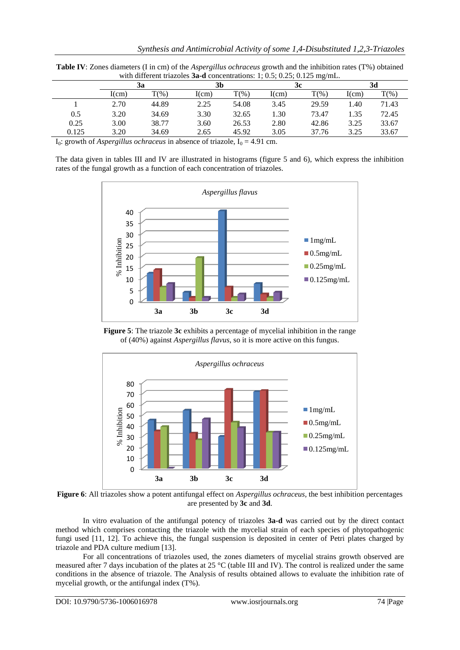|       |       | with university thazones $5a-a$ concentrations. 1, 0.5, 0.25, 0.125 mg/mL. | 3b    |                   | 3c    |                  | 3d    |         |  |
|-------|-------|----------------------------------------------------------------------------|-------|-------------------|-------|------------------|-------|---------|--|
|       | Зa    |                                                                            |       |                   |       |                  |       |         |  |
|       | I(cm) | $T(\% )$                                                                   | I(cm) | $\mathbf{T}(\% )$ | I(cm) | $\mathrm{T}(\%)$ | I(cm) | $T(\%)$ |  |
|       | 2.70  | 44.89                                                                      | 2.25  | 54.08             | 3.45  | 29.59            | 1.40  | 71.43   |  |
| 0.5   | 3.20  | 34.69                                                                      | 3.30  | 32.65             | 1.30  | 73.47            | 1.35  | 72.45   |  |
| 0.25  | 3.00  | 38.77                                                                      | 3.60  | 26.53             | 2.80  | 42.86            | 3.25  | 33.67   |  |
| 0.125 | 3.20  | 34.69                                                                      | 2.65  | 45.92             | 3.05  | 37.76            | 3.25  | 33.67   |  |

**Table IV**: Zones diameters (I in cm) of the *Aspergillus ochraceus* growth and the inhibition rates (T%) obtained with different triazoles **3a-d** concentrations: 1: 0.5: 0.25: 0.125 mg/mL

I<sub>0</sub>: growth of *Aspergillus ochraceus* in absence of triazole,  $I_0 = 4.91$  cm.

The data given in tables III and IV are illustrated in histograms (figure 5 and 6), which express the inhibition rates of the fungal growth as a function of each concentration of triazoles.



**Figure 5**: The triazole **3c** exhibits a percentage of mycelial inhibition in the range of (40%) against *Aspergillus flavus*, so it is more active on this fungus.



**Figure 6**: All triazoles show a potent antifungal effect on *Aspergillus ochraceus*, the best inhibition percentages are presented by **3c** and **3d**.

In vitro evaluation of the antifungal potency of triazoles **3a-d** was carried out by the direct contact method which comprises contacting the triazole with the mycelial strain of each species of phytopathogenic fungi used [11, 12]. To achieve this, the fungal suspension is deposited in center of Petri plates charged by triazole and PDA culture medium [13].

For all concentrations of triazoles used, the zones diameters of mycelial strains growth observed are measured after 7 days incubation of the plates at 25  $^{\circ}$ C (table III and IV). The control is realized under the same conditions in the absence of triazole. The Analysis of results obtained allows to evaluate the inhibition rate of mycelial growth, or the antifungal index (T%).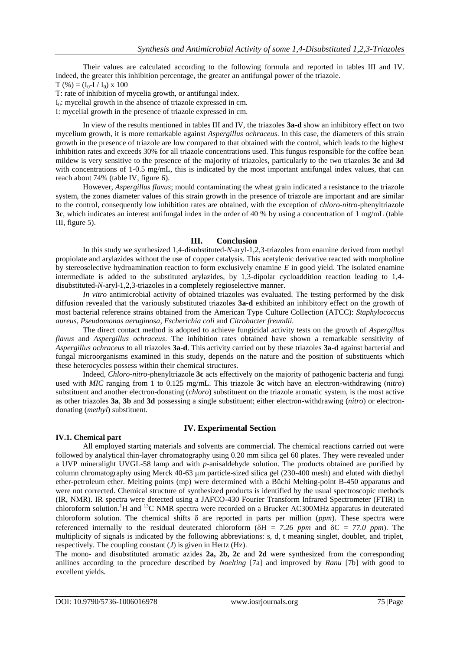Their values are calculated according to the following formula and reported in tables III and IV. Indeed, the greater this inhibition percentage, the greater an antifungal power of the triazole.

 $T (%) = (I_0 - I / I_0) \times 100$ 

T: rate of inhibition of mycelia growth, or antifungal index.

 $I<sub>0</sub>$ : mycelial growth in the absence of triazole expressed in cm.

I: mycelial growth in the presence of triazole expressed in cm.

In view of the results mentioned in tables III and IV, the triazoles **3a-d** show an inhibitory effect on two mycelium growth, it is more remarkable against *Aspergillus ochraceus*. In this case, the diameters of this strain growth in the presence of triazole are low compared to that obtained with the control, which leads to the highest inhibition rates and exceeds 30% for all triazole concentrations used. This fungus responsible for the coffee bean mildew is very sensitive to the presence of the majority of triazoles, particularly to the two triazoles **3c** and **3d** with concentrations of 1-0.5 mg/mL, this is indicated by the most important antifungal index values, that can reach about 74% (table IV, figure 6).

However, *Aspergillus flavus*; mould contaminating the wheat grain indicated a resistance to the triazole system, the zones diameter values of this strain growth in the presence of triazole are important and are similar to the control, consequently low inhibition rates are obtained, with the exception of *chloro*-*nitro*-phenyltriazole **3c**, which indicates an interest antifungal index in the order of 40 % by using a concentration of 1 mg/mL (table III, figure 5).

## **III. Conclusion**

In this study we synthesized 1,4-disubstituted-*N*-aryl-1,2,3-triazoles from enamine derived from methyl propiolate and arylazides without the use of copper catalysis. This acetylenic derivative reacted with morpholine by stereoselective hydroamination reaction to form exclusively enamine *E* in good yield. The isolated enamine intermediate is added to the substituted arylazides, by 1,3-dipolar cycloaddition reaction leading to 1,4 disubstituted-*N*-aryl-1,2,3-triazoles in a completely regioselective manner.

*In vitro* antimicrobial activity of obtained triazoles was evaluated. The testing performed by the disk diffusion revealed that the variously substituted triazoles **3a-d** exhibited an inhibitory effect on the growth of most bacterial reference strains obtained from the American Type Culture Collection (ATCC): *Staphylococcus aureus*, *Pseudomonas aeruginosa*, *Escherichia coli* and *Citrobacter freundii.*

The direct contact method is adopted to achieve fungicidal activity tests on the growth of *Aspergillus flavus* and *Aspergillus ochraceus*. The inhibition rates obtained have shown a remarkable sensitivity of *Aspergillus ochraceus* to all triazoles **3a-d**. This activity carried out by these triazoles **3a-d** against bacterial and fungal microorganisms examined in this study, depends on the nature and the position of substituents which these heterocycles possess within their chemical structures.

Indeed, *Chloro*-*nitro*-phenyltriazole **3c** acts effectively on the majority of pathogenic bacteria and fungi used with *MIC* ranging from 1 to 0.125 mg/mL. This triazole **3c** witch have an electron-withdrawing (*nitro*) substituent and another electron-donating (*chloro*) substituent on the triazole aromatic system, is the most active as other triazoles **3a**, **3b** and **3d** possessing a single substituent; either electron-withdrawing (*nitro*) or electrondonating (*methyl*) substituent.

## **IV. Experimental Section**

## **IV.1. Chemical part**

All employed starting materials and solvents are commercial. The chemical reactions carried out were followed by analytical thin-layer chromatography using 0.20 mm silica gel 60 plates. They were revealed under a UVP mineralight UVGL-58 lamp and with *p*-anisaldehyde solution. The products obtained are purified by column chromatography using Merck 40-63 μm particle-sized silica gel (230-400 mesh) and eluted with diethyl ether-petroleum ether. Melting points (mp) were determined with a Büchi Melting*-*point B*-*450 apparatus and were not corrected. Chemical structure of synthesized products is identified by the usual spectroscopic methods (IR, NMR). IR spectra were detected using a JAFCO-430 Fourier Transform Infrared Spectrometer (FTIR) in chloroform solution.<sup>1</sup>H and <sup>13</sup>C NMR spectra were recorded on a Brucker AC300MHz apparatus in deuterated chloroform solution. The chemical shifts  $\delta$  are reported in parts per million (*ppm*). These spectra were referenced internally to the residual deuterated chloroform ( $\delta H = 7.26$  *ppm* and  $\delta C = 77.0$  *ppm*). The multiplicity of signals is indicated by the following abbreviations: s, d, t meaning singlet, doublet, and triplet, respectively. The coupling constant  $(J)$  is given in Hertz (Hz).

The mono- and disubstituted aromatic azides **2a, 2b, 2c** and **2d** were synthesized from the corresponding anilines according to the procedure described by *Noelting* [7a] and improved by *Ranu* [7b] with good to excellent yields.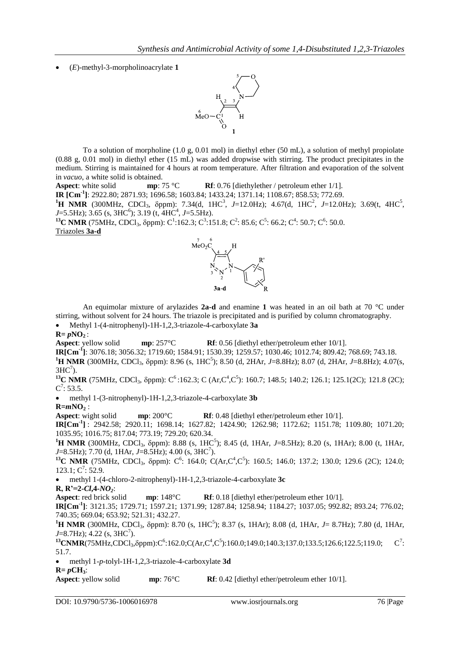```
 (E)-methyl-3-morpholinoacrylate 1
```


To a solution of morpholine (1.0 g, 0.01 mol) in diethyl ether (50 mL), a solution of methyl propiolate (0.88 g, 0.01 mol) in diethyl ether (15 mL) was added dropwise with stirring. The product precipitates in the medium. Stirring is maintained for 4 hours at room temperature. After filtration and evaporation of the solvent in *vacuo*, a white solid is obtained.

**Aspect**: white solid **mp**: 75 °C **Rf**: 0.76 [diethylether / petroleum ether 1/1].

**IR [Cm-1 ]**: 2922.80; 2871.93; 1696.58; 1603.84; 1433.24; 1371.14; 1108.67; 858.53; 772.69.

<sup>1</sup>**H** NMR (300MHz, CDCl<sub>3</sub>,  $\delta$ ppm): 7.34(d, 1HC<sup>3</sup>, *J*=12.0Hz); 4.67(d, 1HC<sup>2</sup>, *J*=12.0Hz); 3.69(t, 4HC<sup>5</sup>, *J*=5.5Hz); 3.65 (s, 3HC<sup>6</sup>); 3.19 (t, 4HC<sup>4</sup>, *J*=5.5Hz).

<sup>13</sup>**C NMR** (75MHz, CDCl<sub>3</sub>,  $\delta$ ppm): C<sup>1</sup>:162.3; C<sup>3</sup>:151.8; C<sup>2</sup>: 85.6; C<sup>5</sup>: 66.2; C<sup>4</sup>: 50.7; C<sup>6</sup>: 50.0. Triazoles **3a-d**



An equimolar mixture of arylazides **2a-d** and enamine **1** was heated in an oil bath at 70 °C under stirring, without solvent for 24 hours. The triazole is precipitated and is purified by column chromatography. Methyl 1-(4-nitrophenyl)-1H-1,2,3-triazole-4-carboxylate **3a**

 $R = pNO<sub>2</sub>:$ <br>**Aspect**: yellow solid **Aspectively solution solution solution** solid **Rf**: 0.56 [diethyl ether/petroleum ether 10/1].

**IR[Cm-1 ]**: 3076.18; 3056.32; 1719.60; 1584.91; 1530.39; 1259.57; 1030.46; 1012.74; 809.42; 768.69; 743.18.

<sup>1</sup>**H NMR** (300MHz, CDCl<sub>3</sub>,  $\delta$ ppm): 8.96 (s, 1HC<sup>5</sup>); 8.50 (d, 2HAr, *J*=8.8Hz); 8.07 (d, 2HAr, *J*=8.8Hz); 4.07(s,  $3HC<sup>7</sup>$ ).

<sup>13</sup>**C NMR** (75MHz, CDCl<sub>3</sub>,  $\delta$ ppm): C<sup>6</sup>:162.3; C (Ar,C<sup>4</sup>,C<sup>5</sup>): 160.7; 148.5; 140.2; 126.1; 125.1(2C); 121.8 (2C);  $C^7$ : 53.5.

 methyl 1-(3-nitrophenyl)-1H-1,2,3-triazole-4-carboxylate **3b R=***m***NO<sup>2</sup>** :

**Aspect**: wight solid **mp**: 200°C **Rf**: 0.48 [diethyl ether/petroleum ether 10/1].

**IR[Cm-1 ]** : 2942.58; 2920.11; 1698.14; 1627.82; 1424.90; 1262.98; 1172.62; 1151.78; 1109.80; 1071.20; 1035.95; 1016.75; 817.04; 773.19; 729.20; 620.34.

<sup>1</sup>**H NMR** (300MHz, CDCl<sub>3</sub>,  $\delta$ ppm): 8.88 (s, 1HC<sup>5</sup>); 8.45 (d, 1HAr, *J*=8.5Hz); 8.20 (s, 1HAr); 8.00 (t, 1HAr, *J*=8.5Hz); 7.70 (d, 1HAr, *J*=8.5Hz); 4.00 (s, 3HC<sup>7</sup>).

<sup>13</sup>**C NMR** (75MHz, CDCl<sub>3</sub>,  $\delta$ ppm): C<sup>6</sup>: 164.0; C(Ar,C<sup>4</sup>,C<sup>5</sup>): 160.5; 146.0; 137.2; 130.0; 129.6 (2C); 124.0;  $123.1; C^7: 52.9.$ 

methyl 1-(4-chloro-2-nitrophenyl)-1H-1,2,3-triazole-4-carboxylate **3c**

**R, R'=2-***Cl***,4-***NO2*:

**Aspecterive solution Rf**: 0.18 [diethyl ether/petroleum ether 10/1].

**IR[Cm-1 ]**: 3121.35; 1729.71; 1597.21; 1371.99; 1287.84; 1258.94; 1184.27; 1037.05; 992.82; 893.24; 776.02; 740.35; 669.04; 653.92; 521.31; 432.27.

<sup>1</sup>**H NMR** (300MHz, CDCl<sub>3</sub>,  $\delta$ ppm): 8.70 (s, 1HC<sup>5</sup>); 8.37 (s, 1HAr); 8.08 (d, 1HAr, *J*= 8.7Hz); 7.80 (d, 1HAr,  $J=8.7\text{Hz}$ ); 4.22 (s, 3HC<sup>7</sup>).

 $^{13}$ **CNMR**(75MHz,CDCl<sub>3</sub>, $\delta$ ppm):C<sup>6</sup>:162.0;C(Ar,C<sup>4</sup>,C<sup>5</sup>):160.0;149.0;140.3;137.0;133.5;126.6;122.5;119.0; C<sup>7</sup>  $C^7$ : 51.7.

methyl 1-*p*-tolyl-1H-1,2,3-triazole-4-carboxylate **3d**

 $R = pCH_3$ :<br>**Aspect**: yellow solid **Aspectively**: 76°C **Rf**: 0.42 [diethyl ether/petroleum ether 10/1].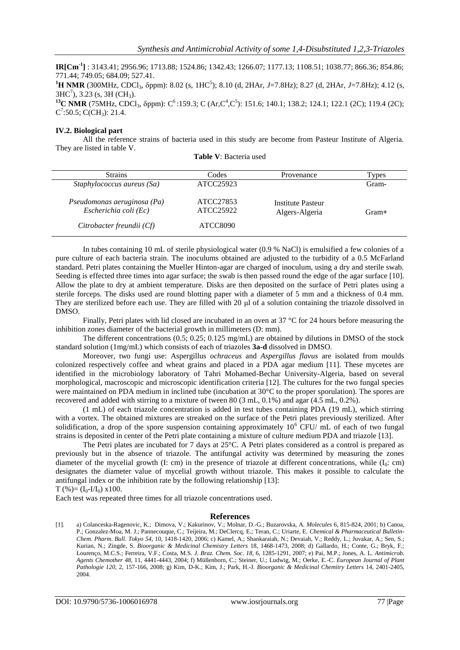**IR[Cm-1 ]** : 3143.41; 2956.96; 1713.88; 1524.86; 1342.43; 1266.07; 1177.13; 1108.51; 1038.77; 866.36; 854.86; 771.44; 749.05; 684.09; 527.41. <sup>1</sup>**H NMR** (300MHz, CDCl<sub>3</sub>,  $\delta$ ppm): 8.02 (s, 1HC<sup>5</sup>); 8.10 (d, 2HAr, *J*=7.8Hz); 8.27 (d, 2HAr, *J*=7.8Hz); 4.12 (s,  $3HC<sup>7</sup>$ ), 3.23 (s, 3H (CH<sub>3</sub>). <sup>13</sup>C NMR (75MHz, CDCl<sub>3</sub>,  $\delta$ ppm): C<sup>6</sup>:159.3; C (Ar,C<sup>4</sup>,C<sup>5</sup>): 151.6; 140.1; 138.2; 124.1; 122.1 (2C); 119.4 (2C);  $C^7$ :50.5; C(CH<sub>3</sub>): 21.4.

## **IV.2. Biological part**

All the reference strains of bacteria used in this study are become from Pasteur Institute of Algeria. They are listed in table V.

| <b>Strains</b>                                       | Codes                  | Provenance                          | Types |
|------------------------------------------------------|------------------------|-------------------------------------|-------|
| Staphylococcus aureus (Sa)                           | ATCC25923              |                                     | Gram- |
| Pseudomonas aeruginosa (Pa)<br>Escherichia coli (Ec) | ATCC27853<br>ATCC25922 | Institute Pasteur<br>Algers-Algeria | Gram+ |
| Citrobacter freundii (Cf)                            | ATCC8090               |                                     |       |

|  |  | <b>Table V</b> : Bacteria used |  |
|--|--|--------------------------------|--|
|--|--|--------------------------------|--|

In tubes containing 10 mL of sterile physiological water (0.9 % NaCl) is emulsified a few colonies of a pure culture of each bacteria strain. The inoculums obtained are adjusted to the turbidity of a 0.5 McFarland standard. Petri plates containing the Mueller Hinton-agar are charged of inoculum, using a dry and sterile swab. Seeding is effected three times into agar surface; the swab is then passed round the edge of the agar surface [10]. Allow the plate to dry at ambient temperature. Disks are then deposited on the surface of Petri plates using a sterile forceps. The disks used are round blotting paper with a diameter of 5 mm and a thickness of 0.4 mm. They are sterilized before each use. They are filled with 20 μl of a solution containing the triazole dissolved in DMSO.

Finally, Petri plates with lid closed are incubated in an oven at 37 °C for 24 hours before measuring the inhibition zones diameter of the bacterial growth in millimeters (D: mm).

The different concentrations (0.5; 0.25; 0.125 mg/mL) are obtained by dilutions in DMSO of the stock standard solution (1mg/mL) which consists of each of triazoles **3a-d** dissolved in DMSO.

Moreover, two fungi use: Aspergillus *ochraceus* and *Aspergillus flavus* are isolated from moulds colonized respectively coffee and wheat grains and placed in a PDA agar medium [11]. These mycetes are identified in the microbiology laboratory of Tahri Mohamed-Bechar University-Algeria, based on several morphological, macroscopic and microscopic identification criteria [12]. The cultures for the two fungal species were maintained on PDA medium in inclined tube (incubation at 30°C to the proper sporulation). The spores are recovered and added with stirring to a mixture of tween 80 (3 mL, 0.1%) and agar (4.5 mL, 0.2%).

(1 mL) of each triazole concentration is added in test tubes containing PDA (19 mL), which stirring with a vortex. The obtained mixtures are streaked on the surface of the Petri plates previously sterilized. After solidification, a drop of the spore suspension containing approximately  $10^6$  CFU/ mL of each of two fungal strains is deposited in center of the Petri plate containing a mixture of culture medium PDA and triazole [13].

The Petri plates are incubated for 7 days at 25°C. A Petri plates considered as a control is prepared as previously but in the absence of triazole. The antifungal activity was determined by measuring the zones diameter of the mycelial growth (I: cm) in the presence of triazole at different concentrations, while  $(I_0: cm)$ designates the diameter value of mycelial growth without triazole. This makes it possible to calculate the antifungal index or the inhibition rate by the following relationship [13]:

 $T$  (%)=  $(I_0-I/I_0)$  x100.

Each test was repeated three times for all triazole concentrations used.

## **References**

<sup>[1].</sup> a) Colanceska-Ragenovic, K.; Dimova, V.; Kakurinov, V.; Molnar, D.-G.; Buzarovska, A. *Molecules* 6, 815-824, 2001; b) Canoa, P.; Gonzalez-Moa, M. J.; Pannecouque, C.; Teijeira, M.; DeClercq, E.; Teran, C.; Uriarte, E. *Chemical & Pharmaceutical Bulletin-Chem. Pharm. Bull. Tokyo 54*, 10, 1418-1420, 2006; c) Kamel, A.; Shankaraiah, N.; Devaiah, V.; Reddy, L.; Juvakar, A.; Sen, S.; Kurian, N.; Zingde, S. *Bioorganic & Medicinal Chemistry Letters* 18, 1468-1473, 2008; d) Gallardo, H.; Conte, G.; Bryk, F.; Lourenço, M.C.S.; Ferreira, V.F.; Costa, M.S. *J. Braz. Chem. Soc. 18*, 6, 1285-1291, 2007; e) Pai, M.P.; Jones, A. L. *Antimicrob. Agents Chemother 48*, 11, 4441-4443, 2004; f) Müllenborn, C.; Steiner, U.; Ludwig, M.; Oerke, E.-C. *European Journal of Plant Pathologie 120*, 2, 157-166, 2008; g) Kim, D-K.; Kim, J.; Park, H.-J. *Bioorganic & Medicinal Chemitry Letters* 14, 2401-2405, 2004.